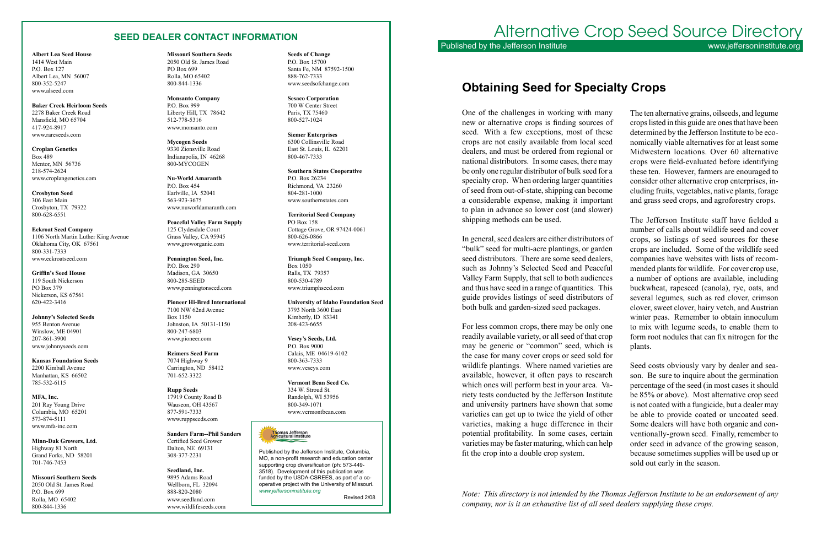#### **SEED DEALER CONTACT INFORMATION**

**Albert Lea Seed House** 1414 West Main P.O. Box 127 Albert Lea, MN 56007 800-352-5247 www.alseed.com

**Baker Creek Heirloom Seeds** 2278 Baker Creek Road Mansfield, MO 65704 417-924-8917 www.rareseeds.com

**Croplan Genetics** Box 489 Mentor, MN 56736 218-574-2624 www.croplangenetics.com

**Crosbyton Seed** 306 East Main Crosbyton, TX 79322 800-628-6551

**Eckroat Seed Company** 1106 North Martin Luther King Avenue Oklahoma City, OK 67561 800-331-7333 www.eckroatseed.com

**Griffin's Seed House** 119 South Nickerson PO Box 379 Nickerson, KS 67561 620-422-3416

**Johnny's Selected Seeds** 955 Benton Avenue Winslow, ME 04901 207-861-3900 www.johnnyseeds.com

**Kansas Foundation Seeds** 2200 Kimball Avenue Manhattan, KS 66502 785-532-6115

**MFA, Inc.** 201 Ray Young Drive Columbia, MO 65201 573-874-5111 www.mfa-inc.com

**Minn-Dak Growers, Ltd.** Highway 81 North Grand Forks, ND 58201 701-746-7453

**Missouri Southern Seeds** 2050 Old St. James Road P.O. Box 699 Rolla, MO 65402 800-844-1336

**Seeds of Change** P.O. Box 15700 Santa Fe, NM 87592-1500 888-762-7333 www.seedsofchange.com

**Sesaco Corporation** 700 W Center Street Paris, TX 75460 800-527-1024

**Siemer Enterprises** 6300 Collinsville Road East St. Louis, IL 62201 800-467-7333

**Southern States Cooperative** P.O. Box 26234 Richmond, VA 23260 804-281-1000 www.southernstates.com

**Territorial Seed Company** PO Box 158 Cottage Grove, OR 97424-0061 800-626-0866 www.territorial-seed.com

**Triumph Seed Company, Inc.** Box 1050 Ralls, TX 79357 800-530-4789 www.triumphseed.com

**University of Idaho Foundation Seed** 3793 North 3600 East Kimberly, ID 83341 208-423-6655

**Vesey's Seeds, Ltd.** P.O. Box 9000 Calais, ME 04619-6102 800-363-7333 www.veseys.com

**Vermont Bean Seed Co.** 334 W. Stroud St. Randolph, WI 53956 800-349-1071 www.vermontbean.com

Thomas Jefferson<br>Agricultural Institute

# Alternative Crop Seed Source Directory Published by the Jefferson Institute www.jeffersoninstitute.org

**Missouri Southern Seeds** 2050 Old St. James Road PO Box 699 Rolla, MO 65402 800-844-1336

**Monsanto Company** P.O. Box 999 Liberty Hill, TX 78642 512-778-5316 www.monsanto.com

**Mycogen Seeds** 9330 Zionsville Road Indianapolis, IN 46268 800-MYCOGEN

**Nu-World Amaranth** P.O. Box 454 Earlville, IA 52041 563-923-3675 www.nuworldamaranth.com

**Peaceful Valley Farm Supply** 125 Clydesdale Court Grass Valley, CA 95945 www.groworganic.com

**Pennington Seed, Inc.** P.O. Box 290 Madison, GA 30650 800-285-SEED www.penningtonseed.com

**Pioneer Hi-Bred International** 7100 NW 62nd Avenue Box 1150 Johnston, IA 50131-1150 800-247-6803 www.pioneer.com

**Reimers Seed Farm** 7074 Highway 9 Carrington, ND 58412 701-652-3322

**Rupp Seeds** 17919 County Road B Wauseon, OH 43567 877-591-7333 www.ruppseeds.com

**Sanders Farm--Phil Sanders**  Certified Seed Grower Dalton, NE 69131 308-377-2231

**Seedland, Inc.** 9895 Adams Road Wellborn, FL 32094 888-820-2080 www.seedland.com www.wildlifeseeds.com

Published by the Jefferson Institute, Columbia, MO, a non-profit research and education center supporting crop diversification (ph: 573-449- 3518). Development of this publication was funded by the USDA-CSREES, as part of a cooperative project with the University of Missouri. *www.jeffersoninstitute.org*

Revised 2/08

One of the challenges in working with many new or alternative crops is finding sources of seed. With a few exceptions, most of these crops are not easily available from local seed dealers, and must be ordered from regional or national distributors. In some cases, there may be only one regular distributor of bulk seed for a specialty crop. When ordering larger quantities of seed from out-of-state, shipping can become a considerable expense, making it important to plan in advance so lower cost (and slower) The ten alternative grains, oilseeds, and legume crops listed in this guide are ones that have been determined by the Jefferson Institute to be economically viable alternatives for at least some Midwestern locations. Over 60 alternative crops were field-evaluated before identifying these ten. However, farmers are enouraged to consider other alternative crop enterprises, including fruits, vegetables, native plants, forage and grass seed crops, and agroforestry crops. The Jefferson Institute staff have fielded a

shipping methods can be used. In general, seed dealers are either distributors of "bulk" seed for multi-acre plantings, or garden seed distributors. There are some seed dealers, such as Johnny's Selected Seed and Peaceful Valley Farm Supply, that sell to both audiences and thus have seed in a range of quantities. This guide provides listings of seed distributors of both bulk and garden-sized seed packages. For less common crops, there may be only one readily available variety, or all seed of that crop may be generic or "common" seed, which is number of calls about wildlife seed and cover crops, so listings of seed sources for these crops are included. Some of the wildlife seed companies have websites with lists of recommended plants for wildlife. For cover crop use, a number of options are available, including buckwheat, rapeseed (canola), rye, oats, and several legumes, such as red clover, crimson clover, sweet clover, hairy vetch, and Austrian winter peas. Remember to obtain innoculum to mix with legume seeds, to enable them to plants.

the case for many cover crops or seed sold for wildlife plantings. Where named varieties are available, however, it often pays to research which ones will perform best in your area. Variety tests conducted by the Jefferson Institute and university partners have shown that some varieties can get up to twice the yield of other varieties, making a huge difference in their potential profitability. In some cases, certain varieties may be faster maturing, which can help fit the crop into a double crop system. form root nodules that can fix nitrogen for the Seed costs obviously vary by dealer and season. Be sure to inquire about the germination percentage of the seed (in most cases it should be 85% or above). Most alternative crop seed is not coated with a fungicide, but a dealer may be able to provide coated or uncoated seed. Some dealers will have both organic and conventionally-grown seed. Finally, remember to order seed in advance of the growing season, because sometimes supplies will be used up or sold out early in the season.

# **Obtaining Seed for Specialty Crops**

*Note: This directory is not intended by the Thomas Jefferson Institute to be an endorsement of any company, nor is it an exhaustive list of all seed dealers supplying these crops.*